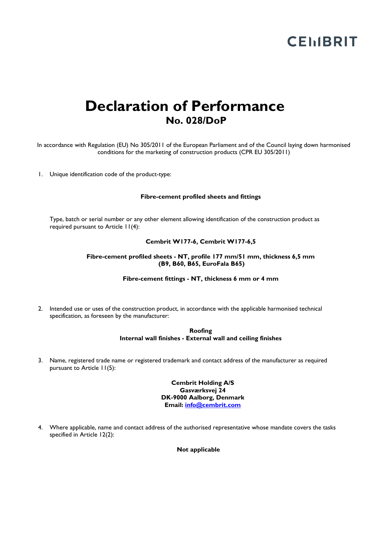# **CEMBRIT**

# **Declaration of Performance No. 028/DoP**

In accordance with Regulation (EU) No 305/2011 of the European Parliament and of the Council laying down harmonised conditions for the marketing of construction products (CPR EU 305/2011)

1. Unique identification code of the product-type:

#### **Fibre-cement profiled sheets and fittings**

Type, batch or serial number or any other element allowing identification of the construction product as required pursuant to Article 11(4):

#### **Cembrit W177-6, Cembrit W177-6,5**

### **Fibre-cement profiled sheets - NT, profile 177 mm/51 mm, thickness 6,5 mm (B9, B60, B65, EuroFala B65)**

#### **Fibre-cement fittings - NT, thickness 6 mm or 4 mm**

2. Intended use or uses of the construction product, in accordance with the applicable harmonised technical specification, as foreseen by the manufacturer:

> **Roofing Internal wall finishes - External wall and ceiling finishes**

3. Name, registered trade name or registered trademark and contact address of the manufacturer as required pursuant to Article 11(5):

> **Cembrit Holding A/S Gasværksvej 24 DK-9000 Aalborg, Denmark Email: [info@cembrit.com](mailto:info@cembrit.com)**

4. Where applicable, name and contact address of the authorised representative whose mandate covers the tasks specified in Article 12(2):

**Not applicable**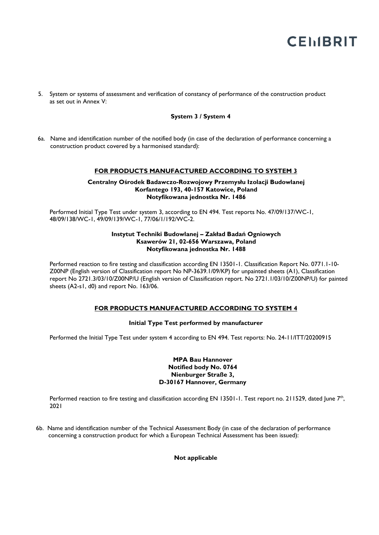# **CEMBRIT**

5. System or systems of assessment and verification of constancy of performance of the construction product as set out in Annex V:

# **System 3 / System 4**

6a. Name and identification number of the notified body (in case of the declaration of performance concerning a construction product covered by a harmonised standard):

### **FOR PRODUCTS MANUFACTURED ACCORDING TO SYSTEM 3**

#### **Centralny Ośrodek Badawczo-Rozwojowy Przemysłu Izolacji Budowlanej Korfantego 193, 40-157 Katowice, Poland Notyfikowana jednostka Nr. 1486**

Performed Initial Type Test under system 3, according to EN 494. Test reports No. 47/09/137/WC-1, 48/09/138/WC-1, 49/09/139/WC-1, 77/06/1/192/WC-2.

#### **Instytut Techniki Budowlanej – Zakład Badań Ogniowych Ksawerów 21, 02-656 Warszawa, Poland Notyfikowana jednostka Nr. 1488**

Performed reaction to fire testing and classification according EN 13501-1. Classification Report No. 0771.1-10- Z00NP (English version of Classification report No NP-3639.1/09/KP) for unpainted sheets (A1), Classification report No 2721.3/03/10/Z00NP/U (English version of Classification report. No 2721.1/03/10/Z00NP/U) for painted sheets (A2-s1, d0) and report No. 163/06.

# **FOR PRODUCTS MANUFACTURED ACCORDING TO SYSTEM 4**

# **Initial Type Test performed by manufacturer**

Performed the Initial Type Test under system 4 according to EN 494. Test reports: No. 24-11/ITT/20200915

#### **MPA Bau Hannover Notified body No. 0764 Nienburger Straße 3, D-30167 Hannover, Germany**

Performed reaction to fire testing and classification according EN 13501-1. Test report no. 211529, dated June 7<sup>th</sup>, 2021

6b. Name and identification number of the Technical Assessment Body (in case of the declaration of performance concerning a construction product for which a European Technical Assessment has been issued):

 **Not applicable**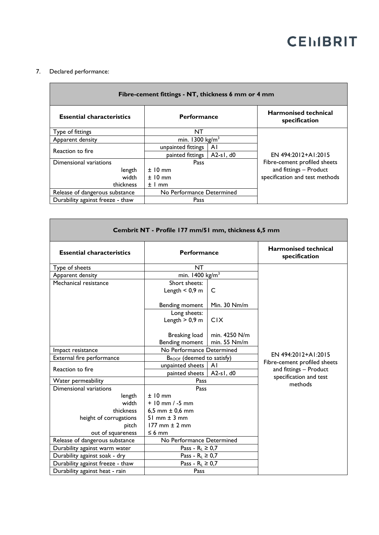# **CEMBRIT**

# 7. Declared performance:

| Fibre-cement fittings - NT, thickness 6 mm or 4 mm |                            |             |                                              |  |  |  |
|----------------------------------------------------|----------------------------|-------------|----------------------------------------------|--|--|--|
| <b>Essential characteristics</b>                   | <b>Performance</b>         |             | <b>Harmonised technical</b><br>specification |  |  |  |
| Type of fittings                                   | NT                         |             |                                              |  |  |  |
| Apparent density                                   | min. $1300 \text{ kg/m}^3$ |             |                                              |  |  |  |
| Reaction to fire                                   | unpainted fittings         | ΑI          |                                              |  |  |  |
|                                                    | painted fittings           | $A2-s1, d0$ | EN 494:2012+A1:2015                          |  |  |  |
| Dimensional variations                             | Pass                       |             | Fibre-cement profiled sheets                 |  |  |  |
| length                                             | $±10$ mm                   |             | and fittings - Product                       |  |  |  |
| width                                              | $±10$ mm                   |             | specification and test methods               |  |  |  |
| thickness                                          | $±1$ mm                    |             |                                              |  |  |  |
| Release of dangerous substance                     | No Performance Determined  |             |                                              |  |  |  |
| Durability against freeze - thaw                   | Pass                       |             |                                              |  |  |  |

| Cembrit NT - Profile 177 mm/51 mm, thickness 6,5 mm |                                       |               |                                                     |  |  |
|-----------------------------------------------------|---------------------------------------|---------------|-----------------------------------------------------|--|--|
| <b>Essential characteristics</b>                    | <b>Performance</b>                    |               | <b>Harmonised technical</b><br>specification        |  |  |
| Type of sheets                                      | <b>NT</b>                             |               |                                                     |  |  |
| Apparent density                                    | min. $1400 \text{ kg/m}^3$            |               |                                                     |  |  |
| Mechanical resistance                               | Short sheets:                         |               |                                                     |  |  |
|                                                     | Length $< 0.9$ m                      | C             |                                                     |  |  |
|                                                     | Bending moment                        | Min. 30 Nm/m  |                                                     |  |  |
|                                                     | Long sheets:                          |               |                                                     |  |  |
|                                                     | Length $> 0.9$ m                      | <b>CIX</b>    |                                                     |  |  |
|                                                     | <b>Breaking load</b>                  | min. 4250 N/m |                                                     |  |  |
|                                                     | Bending moment                        | min. 55 Nm/m  |                                                     |  |  |
| Impact resistance                                   | No Performance Determined             |               | EN 494:2012+A1:2015<br>Fibre-cement profiled sheets |  |  |
| External fire performance                           | B <sub>ROOF</sub> (deemed to satisfy) |               |                                                     |  |  |
| Reaction to fire                                    | unpainted sheets<br>ΑI                |               |                                                     |  |  |
|                                                     | painted sheets                        | $A2-s1, d0$   | and fittings - Product                              |  |  |
| Water permeability                                  | Pass                                  |               | specification and test<br>methods                   |  |  |
| Dimensional variations                              | Pass                                  |               |                                                     |  |  |
| length                                              | $±10$ mm                              |               |                                                     |  |  |
| width                                               | $+10$ mm $/ -5$ mm                    |               |                                                     |  |  |
| thickness                                           | 6,5 mm $\pm$ 0,6 mm                   |               |                                                     |  |  |
| height of corrugations                              | 51 mm $\pm$ 3 mm                      |               |                                                     |  |  |
| pitch                                               | $177$ mm $\pm$ 2 mm                   |               |                                                     |  |  |
| out of squareness                                   | $\leq 6$ mm                           |               |                                                     |  |  |
| Release of dangerous substance                      | No Performance Determined             |               |                                                     |  |  |
| Durability against warm water                       | Pass - $R_L \geq 0.7$                 |               |                                                     |  |  |
| Durability against soak - dry                       | Pass - $R_L \geq 0.7$                 |               |                                                     |  |  |
| Durability against freeze - thaw                    | Pass - $R_L \geq 0.7$                 |               |                                                     |  |  |
| Durability against heat - rain                      | Pass                                  |               |                                                     |  |  |